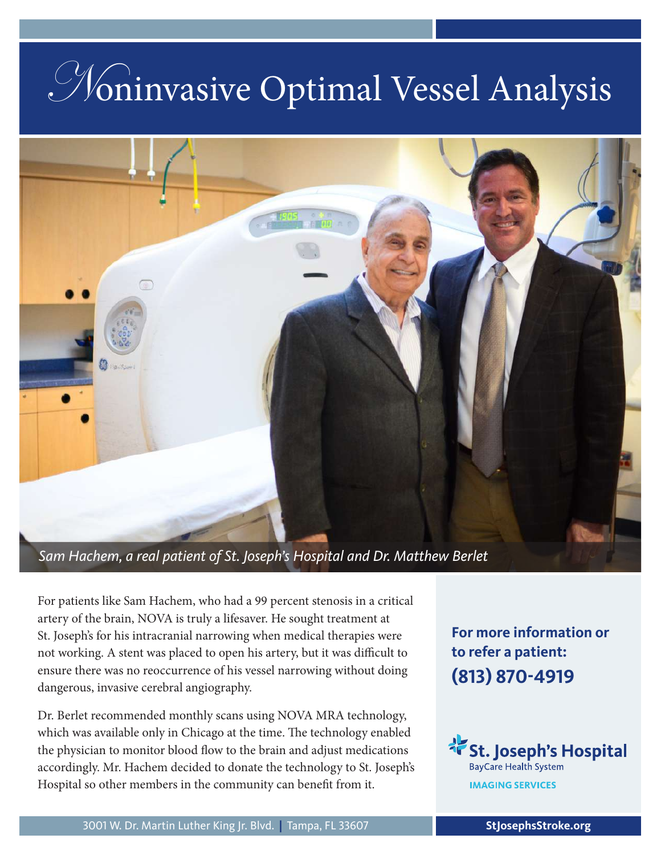# Noninvasive Optimal Vessel Analysis



*Sam Hachem, a real patient of St. Joseph's Hospital and Dr. Matthew Berlet*

For patients like Sam Hachem, who had a 99 percent stenosis in a critical artery of the brain, NOVA is truly a lifesaver. He sought treatment at St. Joseph's for his intracranial narrowing when medical therapies were not working. A stent was placed to open his artery, but it was difficult to ensure there was no reoccurrence of his vessel narrowing without doing dangerous, invasive cerebral angiography.

Dr. Berlet recommended monthly scans using NOVA MRA technology, which was available only in Chicago at the time. The technology enabled the physician to monitor blood flow to the brain and adjust medications accordingly. Mr. Hachem decided to donate the technology to St. Joseph's Hospital so other members in the community can benefit from it.

**For more information or to refer a patient: (813) 870-4919**